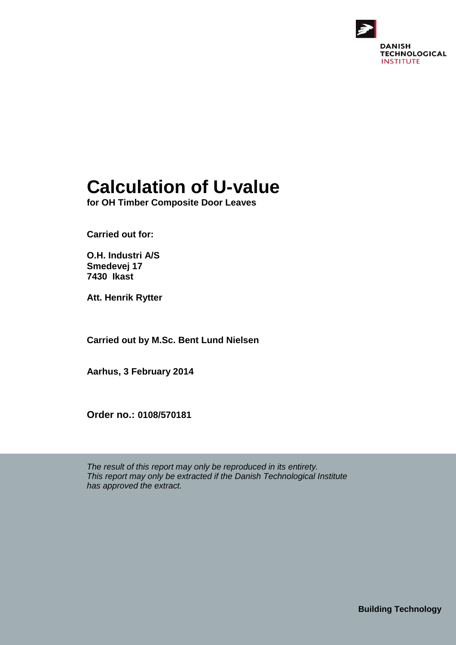

# **Calculation of U-value**

**for OH Timber Composite Door Leaves**

**Carried out for:**

**O.H. Industri A/S Smedevej 17 7430 Ikast**

**Att. Henrik Rytter**

**Carried out by M.Sc. Bent Lund Nielsen**

**Aarhus, 3 February 2014**

**Order no.: 0108/570181**

*The result of this report may only be reproduced in its entirety. This report may only be extracted if the Danish Technological Institute has approved the extract.*

**Building Technology**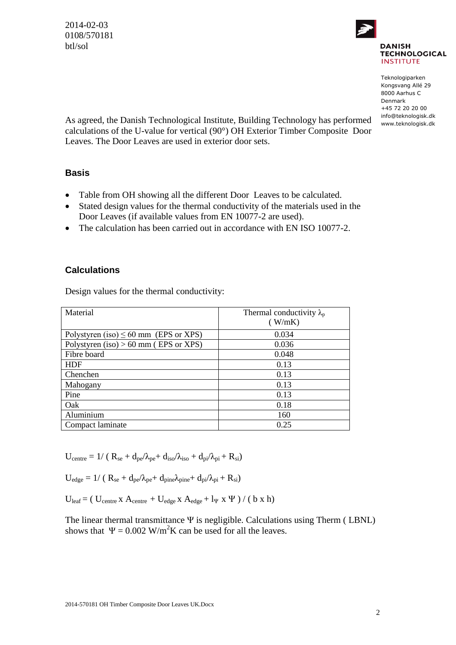2014-02-03 0108/570181 btl/sol



Teknologiparken Kongsvang Allé 29 8000 Aarhus C Denmark +45 72 20 20 00 info@teknologisk.dk www.teknologisk.dk

As agreed, the Danish Technological Institute, Building Technology has performed calculations of the U-value for vertical (90°) OH Exterior Timber Composite Door Leaves. The Door Leaves are used in exterior door sets.

#### **Basis**

- Table from OH showing all the different Door Leaves to be calculated.
- Stated design values for the thermal conductivity of the materials used in the Door Leaves (if available values from EN 10077-2 are used).
- The calculation has been carried out in accordance with EN ISO 10077-2.

#### **Calculations**

Design values for the thermal conductivity:

| Material                                   | Thermal conductivity $\lambda_p$<br>(W/mK) |
|--------------------------------------------|--------------------------------------------|
| Polystyren (iso) $\leq 60$ mm (EPS or XPS) | 0.034                                      |
| Polystyren (iso) $> 60$ mm (EPS or XPS)    | 0.036                                      |
| Fibre board                                | 0.048                                      |
| <b>HDF</b>                                 | 0.13                                       |
| Chenchen                                   | 0.13                                       |
| Mahogany                                   | 0.13                                       |
| Pine                                       | 0.13                                       |
| Oak                                        | 0.18                                       |
| Aluminium                                  | 160                                        |
| Compact laminate                           | 0.25                                       |

 $U_{\text{centre}} = 1/ (R_{\text{se}} + d_{\text{ne}}/\lambda_{\text{ne}} + d_{\text{iso}}/\lambda_{\text{iso}} + d_{\text{ni}}/\lambda_{\text{ni}} + R_{\text{si}})$ 

 $U_{\text{edge}} = 1/ ( R_{\text{se}} + d_{\text{pe}} / \lambda_{\text{pe}} + d_{\text{pine}} \lambda_{\text{pine}} + d_{\text{pi}} / \lambda_{\text{pi}} + R_{\text{si}} )$ 

 $U_{\text{leaf}} = ( U_{\text{centre}} x A_{\text{centre}} + U_{\text{edge}} x A_{\text{edge}} + l_{\Psi} x \Psi ) / ( b x h )$ 

The linear thermal transmittance  $\Psi$  is negligible. Calculations using Therm (LBNL) shows that  $\Psi = 0.002$  W/m<sup>2</sup>K can be used for all the leaves.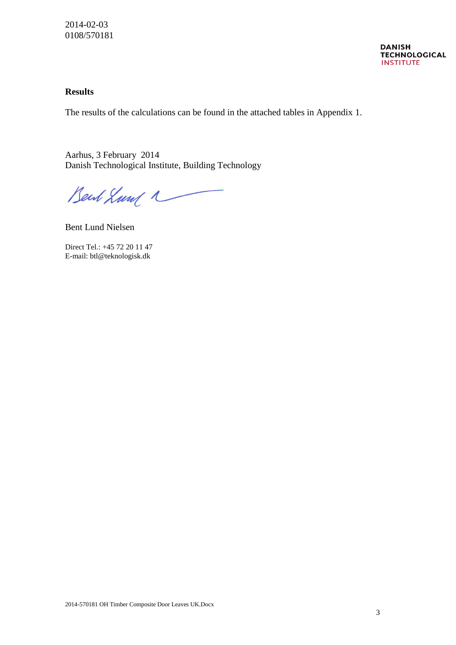#### **Results**

The results of the calculations can be found in the attached tables in Appendix 1.

Aarhus, 3 February 2014 Danish Technological Institute, Building Technology

Bent Lund 1

Bent Lund Nielsen

Direct Tel.: +45 72 20 11 47 E-mail: btl@teknologisk.dk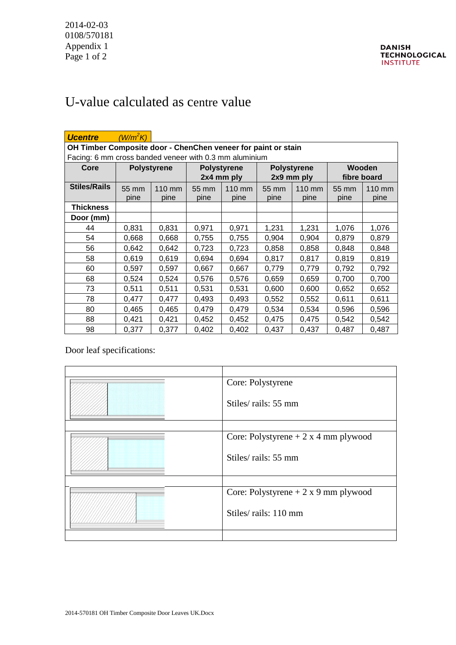## U-value calculated as centre value

| <b>Ucentre</b>                                                | (W/m <sup>2</sup> K) |        |                    |        |                    |        |             |        |
|---------------------------------------------------------------|----------------------|--------|--------------------|--------|--------------------|--------|-------------|--------|
| OH Timber Composite door - ChenChen veneer for paint or stain |                      |        |                    |        |                    |        |             |        |
| Facing: 6 mm cross banded veneer with 0.3 mm aluminium        |                      |        |                    |        |                    |        |             |        |
| Core                                                          | <b>Polystyrene</b>   |        | <b>Polystyrene</b> |        | <b>Polystyrene</b> |        | Wooden      |        |
|                                                               |                      |        | 2x4 mm ply         |        | 2x9 mm ply         |        | fibre board |        |
| <b>Stiles/Rails</b>                                           | 55 mm                | 110 mm | 55 mm              | 110 mm | 55 mm              | 110 mm | 55 mm       | 110 mm |
|                                                               | pine                 | pine   | pine               | pine   | pine               | pine   | pine        | pine   |
| <b>Thickness</b>                                              |                      |        |                    |        |                    |        |             |        |
| Door (mm)                                                     |                      |        |                    |        |                    |        |             |        |
| 44                                                            | 0,831                | 0,831  | 0,971              | 0,971  | 1,231              | 1,231  | 1,076       | 1,076  |
| 54                                                            | 0,668                | 0,668  | 0,755              | 0,755  | 0,904              | 0,904  | 0,879       | 0,879  |
| 56                                                            | 0,642                | 0,642  | 0,723              | 0,723  | 0,858              | 0,858  | 0,848       | 0,848  |
| 58                                                            | 0,619                | 0,619  | 0,694              | 0,694  | 0,817              | 0,817  | 0,819       | 0,819  |
| 60                                                            | 0,597                | 0,597  | 0,667              | 0,667  | 0,779              | 0,779  | 0,792       | 0,792  |
| 68                                                            | 0,524                | 0,524  | 0,576              | 0,576  | 0,659              | 0,659  | 0,700       | 0,700  |
| 73                                                            | 0,511                | 0,511  | 0,531              | 0,531  | 0,600              | 0,600  | 0,652       | 0,652  |
| 78                                                            | 0,477                | 0,477  | 0,493              | 0,493  | 0,552              | 0,552  | 0,611       | 0,611  |
| 80                                                            | 0,465                | 0,465  | 0,479              | 0,479  | 0,534              | 0,534  | 0,596       | 0,596  |
| 88                                                            | 0,421                | 0,421  | 0,452              | 0,452  | 0,475              | 0,475  | 0,542       | 0,542  |
| 98                                                            | 0,377                | 0,377  | 0,402              | 0,402  | 0,437              | 0,437  | 0,487       | 0,487  |

Door leaf specifications:

| Core: Polystyrene                     |
|---------------------------------------|
| Stiles/rails: 55 mm                   |
|                                       |
| Core: Polystyrene $+ 2x 4$ mm plywood |
| Stiles/rails: 55 mm                   |
|                                       |
| Core: Polystyrene $+ 2x9$ mm plywood  |
| Stiles/rails: 110 mm                  |
|                                       |